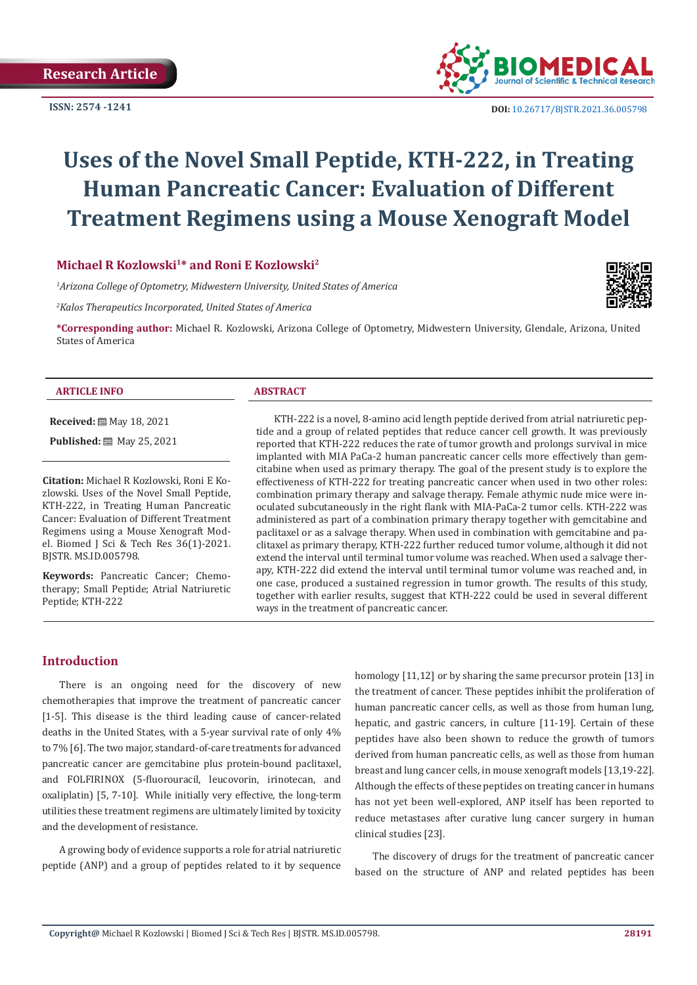

 **DOI:** [10.26717/BJSTR.2021.36.005798](http://dx.doi.org/10.26717/BJSTR.2021.36.005798)

# **Uses of the Novel Small Peptide, KTH-222, in Treating Human Pancreatic Cancer: Evaluation of Different Treatment Regimens using a Mouse Xenograft Model**

# **Michael R Kozlowski1\* and Roni E Kozlowski2**

*1 Arizona College of Optometry, Midwestern University, United States of America*

*2 Kalos Therapeutics Incorporated, United States of America*



**\*Corresponding author:** Michael R. Kozlowski, Arizona College of Optometry, Midwestern University, Glendale, Arizona, United States of America

#### **ARTICLE INFO ABSTRACT**

**Received:** May 18, 2021

**Published:** 圖 May 25, 2021

**Citation:** Michael R Kozlowski, Roni E Kozlowski. Uses of the Novel Small Peptide, KTH-222, in Treating Human Pancreatic Cancer: Evaluation of Different Treatment Regimens using a Mouse Xenograft Model. Biomed J Sci & Tech Res 36(1)-2021. BJSTR. MS.ID.005798.

**Keywords:** Pancreatic Cancer; Chemotherapy; Small Peptide; Atrial Natriuretic Peptide; KTH-222

KTH-222 is a novel, 8-amino acid length peptide derived from atrial natriuretic peptide and a group of related peptides that reduce cancer cell growth. It was previously reported that KTH-222 reduces the rate of tumor growth and prolongs survival in mice implanted with MIA PaCa-2 human pancreatic cancer cells more effectively than gemcitabine when used as primary therapy. The goal of the present study is to explore the effectiveness of KTH-222 for treating pancreatic cancer when used in two other roles: combination primary therapy and salvage therapy. Female athymic nude mice were inoculated subcutaneously in the right flank with MIA-PaCa-2 tumor cells. KTH-222 was administered as part of a combination primary therapy together with gemcitabine and paclitaxel or as a salvage therapy. When used in combination with gemcitabine and paclitaxel as primary therapy, KTH-222 further reduced tumor volume, although it did not extend the interval until terminal tumor volume was reached. When used a salvage therapy, KTH-222 did extend the interval until terminal tumor volume was reached and, in one case, produced a sustained regression in tumor growth. The results of this study, together with earlier results, suggest that KTH-222 could be used in several different ways in the treatment of pancreatic cancer.

# **Introduction**

There is an ongoing need for the discovery of new chemotherapies that improve the treatment of pancreatic cancer [1-5]. This disease is the third leading cause of cancer-related deaths in the United States, with a 5-year survival rate of only 4% to 7% [6]. The two major, standard-of-care treatments for advanced pancreatic cancer are gemcitabine plus protein-bound paclitaxel, and FOLFIRINOX (5-fluorouracil, leucovorin, irinotecan, and oxaliplatin) [5, 7-10]. While initially very effective, the long-term utilities these treatment regimens are ultimately limited by toxicity and the development of resistance.

A growing body of evidence supports a role for atrial natriuretic peptide (ANP) and a group of peptides related to it by sequence

homology [11,12] or by sharing the same precursor protein [13] in the treatment of cancer. These peptides inhibit the proliferation of human pancreatic cancer cells, as well as those from human lung, hepatic, and gastric cancers, in culture [11-19]. Certain of these peptides have also been shown to reduce the growth of tumors derived from human pancreatic cells, as well as those from human breast and lung cancer cells, in mouse xenograft models [13,19-22]. Although the effects of these peptides on treating cancer in humans has not yet been well-explored, ANP itself has been reported to reduce metastases after curative lung cancer surgery in human clinical studies [23].

The discovery of drugs for the treatment of pancreatic cancer based on the structure of ANP and related peptides has been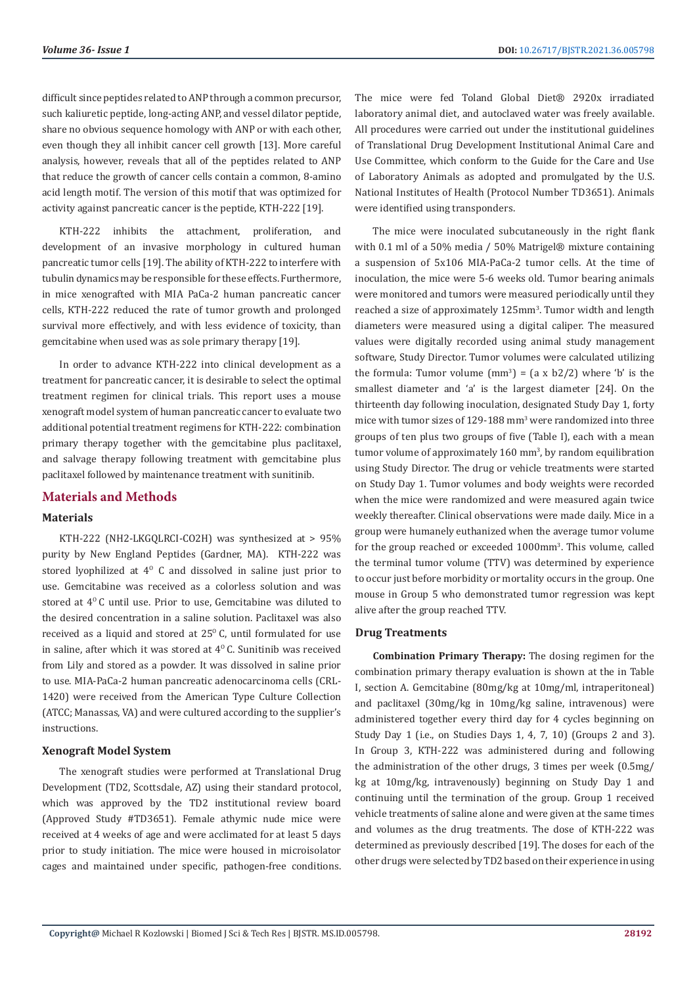difficult since peptides related to ANP through a common precursor, such kaliuretic peptide, long-acting ANP, and vessel dilator peptide, share no obvious sequence homology with ANP or with each other, even though they all inhibit cancer cell growth [13]. More careful analysis, however, reveals that all of the peptides related to ANP that reduce the growth of cancer cells contain a common, 8-amino acid length motif. The version of this motif that was optimized for activity against pancreatic cancer is the peptide, KTH-222 [19].

KTH-222 inhibits the attachment, proliferation, and development of an invasive morphology in cultured human pancreatic tumor cells [19]. The ability of KTH-222 to interfere with tubulin dynamics may be responsible for these effects. Furthermore, in mice xenografted with MIA PaCa-2 human pancreatic cancer cells, KTH-222 reduced the rate of tumor growth and prolonged survival more effectively, and with less evidence of toxicity, than gemcitabine when used was as sole primary therapy [19].

In order to advance KTH-222 into clinical development as a treatment for pancreatic cancer, it is desirable to select the optimal treatment regimen for clinical trials. This report uses a mouse xenograft model system of human pancreatic cancer to evaluate two additional potential treatment regimens for KTH-222: combination primary therapy together with the gemcitabine plus paclitaxel, and salvage therapy following treatment with gemcitabine plus paclitaxel followed by maintenance treatment with sunitinib.

# **Materials and Methods**

#### **Materials**

KTH-222 (NH2-LKGQLRCI-CO2H) was synthesized at > 95% purity by New England Peptides (Gardner, MA). KTH-222 was stored lyophilized at  $4^{\circ}$  C and dissolved in saline just prior to use. Gemcitabine was received as a colorless solution and was stored at  $4^{\circ}$ C until use. Prior to use, Gemcitabine was diluted to the desired concentration in a saline solution. Paclitaxel was also received as a liquid and stored at  $25^{\circ}$  C, until formulated for use in saline, after which it was stored at  $4^{\circ}$  C. Sunitinib was received from Lily and stored as a powder. It was dissolved in saline prior to use. MIA-PaCa-2 human pancreatic adenocarcinoma cells (CRL-1420) were received from the American Type Culture Collection (ATCC; Manassas, VA) and were cultured according to the supplier's instructions.

#### **Xenograft Model System**

The xenograft studies were performed at Translational Drug Development (TD2, Scottsdale, AZ) using their standard protocol, which was approved by the TD2 institutional review board (Approved Study #TD3651). Female athymic nude mice were received at 4 weeks of age and were acclimated for at least 5 days prior to study initiation. The mice were housed in microisolator cages and maintained under specific, pathogen-free conditions.

The mice were fed Toland Global Diet® 2920x irradiated laboratory animal diet, and autoclaved water was freely available. All procedures were carried out under the institutional guidelines of Translational Drug Development Institutional Animal Care and Use Committee, which conform to the Guide for the Care and Use of Laboratory Animals as adopted and promulgated by the U.S. National Institutes of Health (Protocol Number TD3651). Animals were identified using transponders.

The mice were inoculated subcutaneously in the right flank with 0.1 ml of a 50% media / 50% Matrigel® mixture containing a suspension of 5x106 MIA-PaCa-2 tumor cells. At the time of inoculation, the mice were 5-6 weeks old. Tumor bearing animals were monitored and tumors were measured periodically until they reached a size of approximately 125mm<sup>3</sup>. Tumor width and length diameters were measured using a digital caliper. The measured values were digitally recorded using animal study management software, Study Director. Tumor volumes were calculated utilizing the formula: Tumor volume  $(mm^3) = (a \times b2/2)$  where 'b' is the smallest diameter and 'a' is the largest diameter [24]. On the thirteenth day following inoculation, designated Study Day 1, forty mice with tumor sizes of  $129$ - $188$  mm<sup>3</sup> were randomized into three groups of ten plus two groups of five (Table I), each with a mean tumor volume of approximately 160 mm<sup>3</sup>, by random equilibration using Study Director. The drug or vehicle treatments were started on Study Day 1. Tumor volumes and body weights were recorded when the mice were randomized and were measured again twice weekly thereafter. Clinical observations were made daily. Mice in a group were humanely euthanized when the average tumor volume for the group reached or exceeded 1000mm3 . This volume, called the terminal tumor volume (TTV) was determined by experience to occur just before morbidity or mortality occurs in the group. One mouse in Group 5 who demonstrated tumor regression was kept alive after the group reached TTV.

#### **Drug Treatments**

**Combination Primary Therapy:** The dosing regimen for the combination primary therapy evaluation is shown at the in Table I, section A. Gemcitabine (80mg/kg at 10mg/ml, intraperitoneal) and paclitaxel (30mg/kg in 10mg/kg saline, intravenous) were administered together every third day for 4 cycles beginning on Study Day 1 (i.e., on Studies Days 1, 4, 7, 10) (Groups 2 and 3). In Group 3, KTH-222 was administered during and following the administration of the other drugs, 3 times per week (0.5mg/ kg at 10mg/kg, intravenously) beginning on Study Day 1 and continuing until the termination of the group. Group 1 received vehicle treatments of saline alone and were given at the same times and volumes as the drug treatments. The dose of KTH-222 was determined as previously described [19]. The doses for each of the other drugs were selected by TD2 based on their experience in using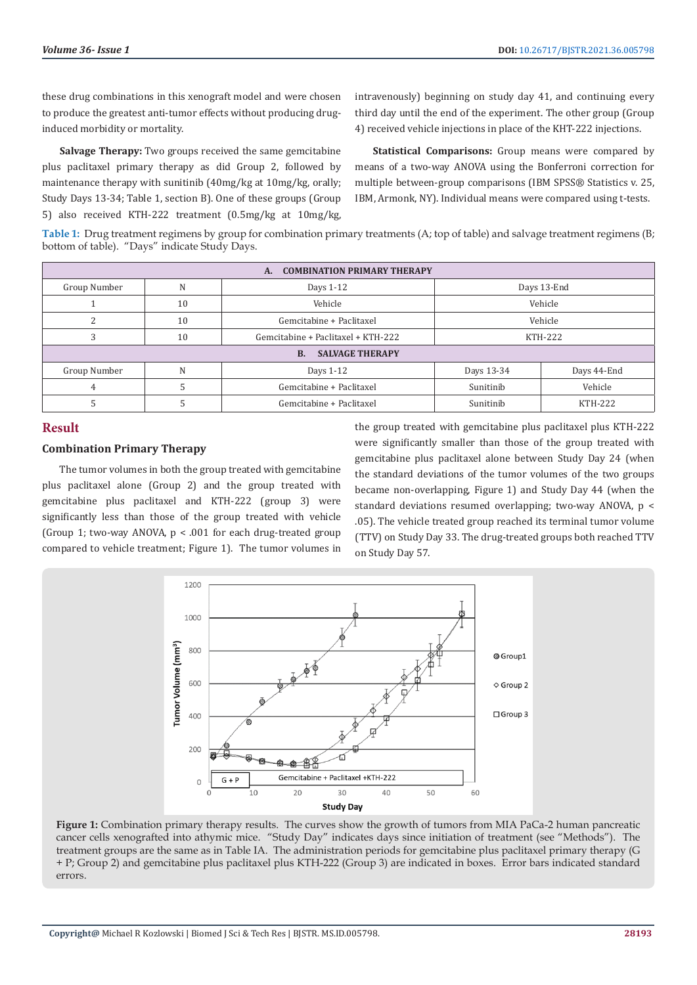these drug combinations in this xenograft model and were chosen to produce the greatest anti-tumor effects without producing druginduced morbidity or mortality.

**Salvage Therapy:** Two groups received the same gemcitabine plus paclitaxel primary therapy as did Group 2, followed by maintenance therapy with sunitinib (40mg/kg at 10mg/kg, orally; Study Days 13-34; Table 1, section B). One of these groups (Group 5) also received KTH-222 treatment (0.5mg/kg at 10mg/kg, intravenously) beginning on study day 41, and continuing every third day until the end of the experiment. The other group (Group 4) received vehicle injections in place of the KHT-222 injections.

**Statistical Comparisons:** Group means were compared by means of a two-way ANOVA using the Bonferroni correction for multiple between-group comparisons (IBM SPSS® Statistics v. 25, IBM, Armonk, NY). Individual means were compared using t-tests.

**Table 1:** Drug treatment regimens by group for combination primary treatments (A; top of table) and salvage treatment regimens (B; bottom of table). "Days" indicate Study Days.

| <b>COMBINATION PRIMARY THERAPY</b><br>A. |    |                                    |                |                |
|------------------------------------------|----|------------------------------------|----------------|----------------|
| Group Number                             | N  | Days 1-12                          | Days 13-End    |                |
|                                          | 10 | Vehicle                            | Vehicle        |                |
|                                          | 10 | Gemcitabine + Paclitaxel           | Vehicle        |                |
|                                          | 10 | Gemcitabine + Paclitaxel + KTH-222 | <b>KTH-222</b> |                |
| <b>SALVAGE THERAPY</b><br><b>B.</b>      |    |                                    |                |                |
| Group Number                             | N  | Days 1-12                          | Days 13-34     | Days 44-End    |
| 4                                        |    | Gemcitabine + Paclitaxel           | Sunitinib      | Vehicle        |
|                                          |    | Gemcitabine + Paclitaxel           | Sunitinib      | <b>KTH-222</b> |

# **Result**

#### **Combination Primary Therapy**

The tumor volumes in both the group treated with gemcitabine plus paclitaxel alone (Group 2) and the group treated with gemcitabine plus paclitaxel and KTH-222 (group 3) were significantly less than those of the group treated with vehicle (Group 1; two-way ANOVA, p < .001 for each drug-treated group compared to vehicle treatment; Figure 1). The tumor volumes in the group treated with gemcitabine plus paclitaxel plus KTH-222 were significantly smaller than those of the group treated with gemcitabine plus paclitaxel alone between Study Day 24 (when the standard deviations of the tumor volumes of the two groups became non-overlapping, Figure 1) and Study Day 44 (when the standard deviations resumed overlapping; two-way ANOVA, p < .05). The vehicle treated group reached its terminal tumor volume (TTV) on Study Day 33. The drug-treated groups both reached TTV on Study Day 57.



**Figure 1:** Combination primary therapy results. The curves show the growth of tumors from MIA PaCa-2 human pancreatic cancer cells xenografted into athymic mice. "Study Day" indicates days since initiation of treatment (see "Methods"). The treatment groups are the same as in Table IA. The administration periods for gemcitabine plus paclitaxel primary therapy (G + P; Group 2) and gemcitabine plus paclitaxel plus KTH-222 (Group 3) are indicated in boxes. Error bars indicated standard errors.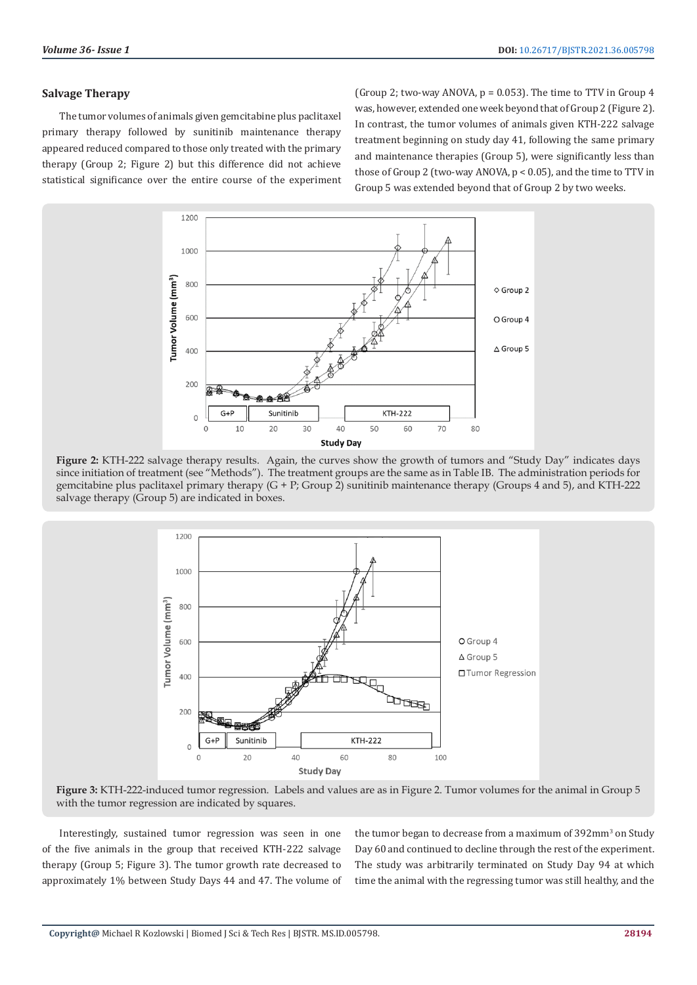#### **Salvage Therapy**

The tumor volumes of animals given gemcitabine plus paclitaxel primary therapy followed by sunitinib maintenance therapy appeared reduced compared to those only treated with the primary therapy (Group 2; Figure 2) but this difference did not achieve statistical significance over the entire course of the experiment (Group 2; two-way ANOVA,  $p = 0.053$ ). The time to TTV in Group 4 was, however, extended one week beyond that of Group 2 (Figure 2). In contrast, the tumor volumes of animals given KTH-222 salvage treatment beginning on study day 41, following the same primary and maintenance therapies (Group 5), were significantly less than those of Group 2 (two-way ANOVA, p < 0.05), and the time to TTV in Group 5 was extended beyond that of Group 2 by two weeks.



**Figure 2:** KTH-222 salvage therapy results. Again, the curves show the growth of tumors and "Study Day" indicates days since initiation of treatment (see "Methods"). The treatment groups are the same as in Table IB. The administration periods for gemcitabine plus paclitaxel primary therapy (G + P; Group 2) sunitinib maintenance therapy (Groups 4 and 5), and KTH-222 salvage therapy (Group 5) are indicated in boxes.



**Figure 3:** KTH-222-induced tumor regression. Labels and values are as in Figure 2. Tumor volumes for the animal in Group 5 with the tumor regression are indicated by squares.

Interestingly, sustained tumor regression was seen in one of the five animals in the group that received KTH-222 salvage therapy (Group 5; Figure 3). The tumor growth rate decreased to approximately 1% between Study Days 44 and 47. The volume of the tumor began to decrease from a maximum of 392mm<sup>3</sup> on Study Day 60 and continued to decline through the rest of the experiment. The study was arbitrarily terminated on Study Day 94 at which time the animal with the regressing tumor was still healthy, and the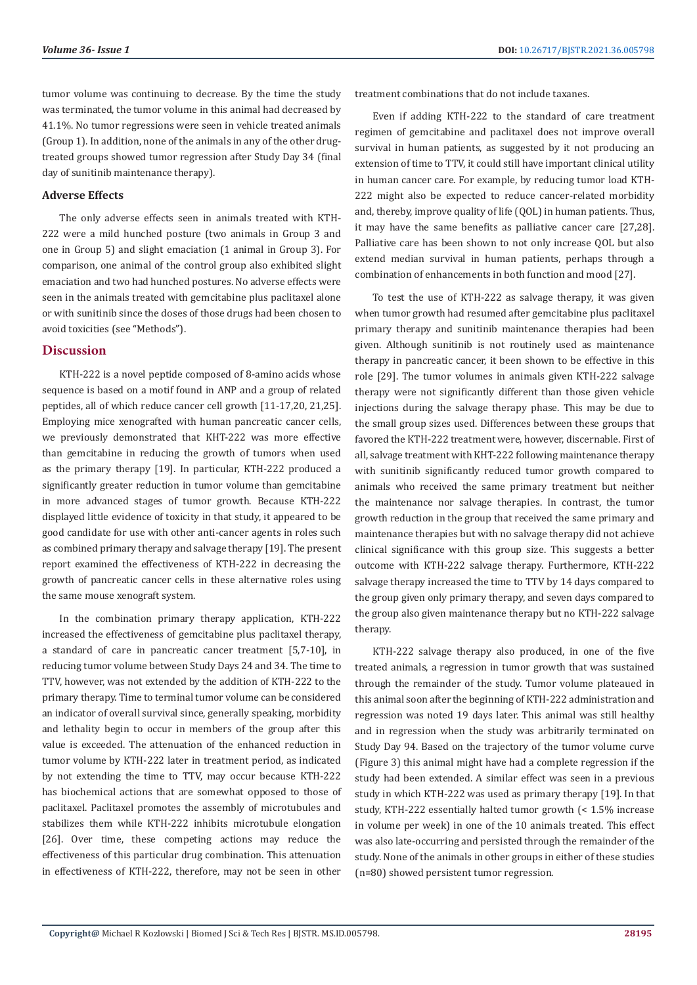tumor volume was continuing to decrease. By the time the study was terminated, the tumor volume in this animal had decreased by 41.1%. No tumor regressions were seen in vehicle treated animals (Group 1). In addition, none of the animals in any of the other drugtreated groups showed tumor regression after Study Day 34 (final day of sunitinib maintenance therapy).

#### **Adverse Effects**

The only adverse effects seen in animals treated with KTH-222 were a mild hunched posture (two animals in Group 3 and one in Group 5) and slight emaciation (1 animal in Group 3). For comparison, one animal of the control group also exhibited slight emaciation and two had hunched postures. No adverse effects were seen in the animals treated with gemcitabine plus paclitaxel alone or with sunitinib since the doses of those drugs had been chosen to avoid toxicities (see "Methods").

## **Discussion**

KTH-222 is a novel peptide composed of 8-amino acids whose sequence is based on a motif found in ANP and a group of related peptides, all of which reduce cancer cell growth [11-17,20, 21,25]. Employing mice xenografted with human pancreatic cancer cells, we previously demonstrated that KHT-222 was more effective than gemcitabine in reducing the growth of tumors when used as the primary therapy [19]. In particular, KTH-222 produced a significantly greater reduction in tumor volume than gemcitabine in more advanced stages of tumor growth. Because KTH-222 displayed little evidence of toxicity in that study, it appeared to be good candidate for use with other anti-cancer agents in roles such as combined primary therapy and salvage therapy [19]. The present report examined the effectiveness of KTH-222 in decreasing the growth of pancreatic cancer cells in these alternative roles using the same mouse xenograft system.

In the combination primary therapy application, KTH-222 increased the effectiveness of gemcitabine plus paclitaxel therapy, a standard of care in pancreatic cancer treatment [5,7-10], in reducing tumor volume between Study Days 24 and 34. The time to TTV, however, was not extended by the addition of KTH-222 to the primary therapy. Time to terminal tumor volume can be considered an indicator of overall survival since, generally speaking, morbidity and lethality begin to occur in members of the group after this value is exceeded. The attenuation of the enhanced reduction in tumor volume by KTH-222 later in treatment period, as indicated by not extending the time to TTV, may occur because KTH-222 has biochemical actions that are somewhat opposed to those of paclitaxel. Paclitaxel promotes the assembly of microtubules and stabilizes them while KTH-222 inhibits microtubule elongation [26]. Over time, these competing actions may reduce the effectiveness of this particular drug combination. This attenuation in effectiveness of KTH-222, therefore, may not be seen in other

treatment combinations that do not include taxanes.

Even if adding KTH-222 to the standard of care treatment regimen of gemcitabine and paclitaxel does not improve overall survival in human patients, as suggested by it not producing an extension of time to TTV, it could still have important clinical utility in human cancer care. For example, by reducing tumor load KTH-222 might also be expected to reduce cancer-related morbidity and, thereby, improve quality of life (QOL) in human patients. Thus, it may have the same benefits as palliative cancer care [27,28]. Palliative care has been shown to not only increase QOL but also extend median survival in human patients, perhaps through a combination of enhancements in both function and mood [27].

To test the use of KTH-222 as salvage therapy, it was given when tumor growth had resumed after gemcitabine plus paclitaxel primary therapy and sunitinib maintenance therapies had been given. Although sunitinib is not routinely used as maintenance therapy in pancreatic cancer, it been shown to be effective in this role [29]. The tumor volumes in animals given KTH-222 salvage therapy were not significantly different than those given vehicle injections during the salvage therapy phase. This may be due to the small group sizes used. Differences between these groups that favored the KTH-222 treatment were, however, discernable. First of all, salvage treatment with KHT-222 following maintenance therapy with sunitinib significantly reduced tumor growth compared to animals who received the same primary treatment but neither the maintenance nor salvage therapies. In contrast, the tumor growth reduction in the group that received the same primary and maintenance therapies but with no salvage therapy did not achieve clinical significance with this group size. This suggests a better outcome with KTH-222 salvage therapy. Furthermore, KTH-222 salvage therapy increased the time to TTV by 14 days compared to the group given only primary therapy, and seven days compared to the group also given maintenance therapy but no KTH-222 salvage therapy.

KTH-222 salvage therapy also produced, in one of the five treated animals, a regression in tumor growth that was sustained through the remainder of the study. Tumor volume plateaued in this animal soon after the beginning of KTH-222 administration and regression was noted 19 days later. This animal was still healthy and in regression when the study was arbitrarily terminated on Study Day 94. Based on the trajectory of the tumor volume curve (Figure 3) this animal might have had a complete regression if the study had been extended. A similar effect was seen in a previous study in which KTH-222 was used as primary therapy [19]. In that study, KTH-222 essentially halted tumor growth (< 1.5% increase in volume per week) in one of the 10 animals treated. This effect was also late-occurring and persisted through the remainder of the study. None of the animals in other groups in either of these studies (n=80) showed persistent tumor regression.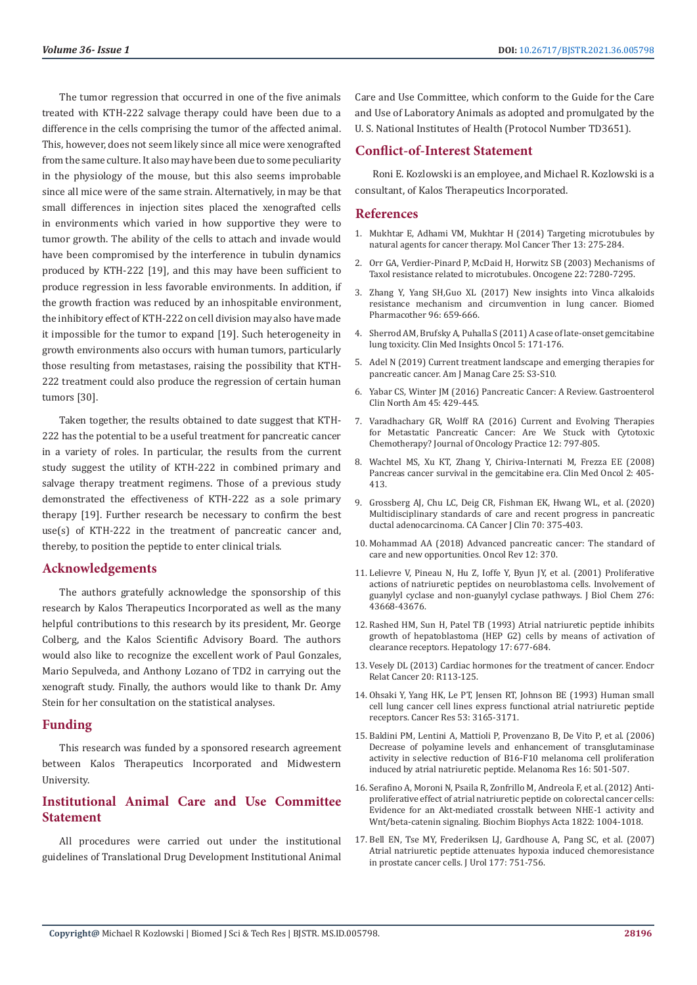The tumor regression that occurred in one of the five animals treated with KTH-222 salvage therapy could have been due to a difference in the cells comprising the tumor of the affected animal. This, however, does not seem likely since all mice were xenografted from the same culture. It also may have been due to some peculiarity in the physiology of the mouse, but this also seems improbable since all mice were of the same strain. Alternatively, in may be that small differences in injection sites placed the xenografted cells in environments which varied in how supportive they were to tumor growth. The ability of the cells to attach and invade would have been compromised by the interference in tubulin dynamics produced by KTH-222 [19], and this may have been sufficient to produce regression in less favorable environments. In addition, if the growth fraction was reduced by an inhospitable environment, the inhibitory effect of KTH-222 on cell division may also have made it impossible for the tumor to expand [19]. Such heterogeneity in growth environments also occurs with human tumors, particularly those resulting from metastases, raising the possibility that KTH-222 treatment could also produce the regression of certain human tumors [30].

Taken together, the results obtained to date suggest that KTH-222 has the potential to be a useful treatment for pancreatic cancer in a variety of roles. In particular, the results from the current study suggest the utility of KTH-222 in combined primary and salvage therapy treatment regimens. Those of a previous study demonstrated the effectiveness of KTH-222 as a sole primary therapy [19]. Further research be necessary to confirm the best use(s) of KTH-222 in the treatment of pancreatic cancer and, thereby, to position the peptide to enter clinical trials.

### **Acknowledgements**

The authors gratefully acknowledge the sponsorship of this research by Kalos Therapeutics Incorporated as well as the many helpful contributions to this research by its president, Mr. George Colberg, and the Kalos Scientific Advisory Board. The authors would also like to recognize the excellent work of Paul Gonzales, Mario Sepulveda, and Anthony Lozano of TD2 in carrying out the xenograft study. Finally, the authors would like to thank Dr. Amy Stein for her consultation on the statistical analyses.

### **Funding**

This research was funded by a sponsored research agreement between Kalos Therapeutics Incorporated and Midwestern University.

# **Institutional Animal Care and Use Committee Statement**

All procedures were carried out under the institutional guidelines of Translational Drug Development Institutional Animal

Care and Use Committee, which conform to the Guide for the Care and Use of Laboratory Animals as adopted and promulgated by the U. S. National Institutes of Health (Protocol Number TD3651).

### **Conflict-of-Interest Statement**

Roni E. Kozlowski is an employee, and Michael R. Kozlowski is a consultant, of Kalos Therapeutics Incorporated.

#### **References**

- 1. [Mukhtar E, Adhami VM, Mukhtar H \(2014\) Targeting microtubules by](https://pubmed.ncbi.nlm.nih.gov/24435445/) [natural agents for cancer therapy. Mol Cancer Ther 13: 275-284.](https://pubmed.ncbi.nlm.nih.gov/24435445/)
- 2. [Orr GA, Verdier-Pinard P, McDaid H, Horwitz SB \(2003\) Mechanisms of](https://pubmed.ncbi.nlm.nih.gov/14576838/) [Taxol resistance related to microtubules. Oncogene 22: 7280-7295.](https://pubmed.ncbi.nlm.nih.gov/14576838/)
- 3. [Zhang Y, Yang SH,Guo XL \(2017\) New insights into Vinca alkaloids](https://pubmed.ncbi.nlm.nih.gov/29035832/) [resistance mechanism and circumvention in lung cancer. Biomed](https://pubmed.ncbi.nlm.nih.gov/29035832/) [Pharmacother 96: 659-666.](https://pubmed.ncbi.nlm.nih.gov/29035832/)
- 4. [Sherrod AM, Brufsky A, Puhalla S \(2011\) A case of late-onset gemcitabine](https://pubmed.ncbi.nlm.nih.gov/21695101/) [lung toxicity. Clin Med Insights Oncol 5: 171-176.](https://pubmed.ncbi.nlm.nih.gov/21695101/)
- 5. [Adel N \(2019\) Current treatment landscape and emerging therapies for](https://pubmed.ncbi.nlm.nih.gov/30681819/) [pancreatic cancer. Am J Manag Care 25: S3-S10.](https://pubmed.ncbi.nlm.nih.gov/30681819/)
- 6. [Yabar CS, Winter JM \(2016\) Pancreatic Cancer: A Review. Gastroenterol](https://pubmed.ncbi.nlm.nih.gov/27546841/) [Clin North Am 45: 429-445.](https://pubmed.ncbi.nlm.nih.gov/27546841/)
- 7. [Varadhachary GR, Wolff RA \(2016\) Current and Evolving Therapies](https://pubmed.ncbi.nlm.nih.gov/27621332/) [for Metastatic Pancreatic Cancer: Are We Stuck with Cytotoxic](https://pubmed.ncbi.nlm.nih.gov/27621332/) [Chemotherapy? Journal of Oncology Practice 12: 797-805.](https://pubmed.ncbi.nlm.nih.gov/27621332/)
- 8. [Wachtel MS, Xu KT, Zhang Y, Chiriva-Internati M, Frezza EE \(2008\)](https://www.ncbi.nlm.nih.gov/pmc/articles/PMC3161658/) [Pancreas cancer survival in the gemcitabine era. Clin Med Oncol 2: 405-](https://www.ncbi.nlm.nih.gov/pmc/articles/PMC3161658/) [413.](https://www.ncbi.nlm.nih.gov/pmc/articles/PMC3161658/)
- 9. [Grossberg AJ, Chu LC, Deig CR, Fishman EK, Hwang WL, et al. \(2020\)](https://jhu.pure.elsevier.com/en/publications/multidisciplinary-standards-of-care-and-recent-progress-in-pancre) [Multidisciplinary standards of care and recent progress in pancreatic](https://jhu.pure.elsevier.com/en/publications/multidisciplinary-standards-of-care-and-recent-progress-in-pancre) [ductal adenocarcinoma. CA Cancer J Clin 70: 375-403.](https://jhu.pure.elsevier.com/en/publications/multidisciplinary-standards-of-care-and-recent-progress-in-pancre)
- 10. [Mohammad AA \(2018\) Advanced pancreatic cancer: The standard of](https://www.ncbi.nlm.nih.gov/pmc/articles/PMC6176548/) [care and new opportunities. Oncol Rev 12: 370.](https://www.ncbi.nlm.nih.gov/pmc/articles/PMC6176548/)
- 11. [Lelievre V, Pineau N, Hu Z, Ioffe Y, Byun JY, et al. \(2001\) Proliferative](https://pubmed.ncbi.nlm.nih.gov/11553633/) [actions of natriuretic peptides on neuroblastoma cells. Involvement of](https://pubmed.ncbi.nlm.nih.gov/11553633/) [guanylyl cyclase and non-guanylyl cyclase pathways. J Biol Chem 276:](https://pubmed.ncbi.nlm.nih.gov/11553633/) [43668-43676.](https://pubmed.ncbi.nlm.nih.gov/11553633/)
- 12. [Rashed HM, Sun H, Patel TB \(1993\) Atrial natriuretic peptide inhibits](https://aasldpubs.onlinelibrary.wiley.com/doi/abs/10.1002/hep.1840170423) [growth of hepatoblastoma \(HEP G2\) cells by means of activation of](https://aasldpubs.onlinelibrary.wiley.com/doi/abs/10.1002/hep.1840170423) [clearance receptors. Hepatology 17: 677-684.](https://aasldpubs.onlinelibrary.wiley.com/doi/abs/10.1002/hep.1840170423)
- 13. [Vesely DL \(2013\) Cardiac hormones for the treatment of cancer. Endocr](https://pubmed.ncbi.nlm.nih.gov/23533248/) [Relat Cancer 20: R113-125.](https://pubmed.ncbi.nlm.nih.gov/23533248/)
- 14. [Ohsaki Y, Yang HK, Le PT, Jensen RT, Johnson BE \(1993\) Human small](https://pubmed.ncbi.nlm.nih.gov/8391389/) [cell lung cancer cell lines express functional atrial natriuretic peptide](https://pubmed.ncbi.nlm.nih.gov/8391389/) [receptors. Cancer Res 53: 3165-3171.](https://pubmed.ncbi.nlm.nih.gov/8391389/)
- 15. [Baldini PM, Lentini A, Mattioli P, Provenzano B, De Vito P, et al. \(2006\)](https://europepmc.org/article/med/17119451) [Decrease of polyamine levels and enhancement of transglutaminase](https://europepmc.org/article/med/17119451) [activity in selective reduction of B16-F10 melanoma cell proliferation](https://europepmc.org/article/med/17119451) [induced by atrial natriuretic peptide. Melanoma Res 16: 501-507.](https://europepmc.org/article/med/17119451)
- 16. [Serafino A, Moroni N, Psaila R, Zonfrillo M, Andreola F, et al. \(2012\) Anti](https://pubmed.ncbi.nlm.nih.gov/22387884/)[proliferative effect of atrial natriuretic peptide on colorectal cancer cells:](https://pubmed.ncbi.nlm.nih.gov/22387884/) [Evidence for an Akt-mediated crosstalk between NHE-1 activity and](https://pubmed.ncbi.nlm.nih.gov/22387884/) [Wnt/beta-catenin signaling. Biochim Biophys Acta 1822: 1004-1018.](https://pubmed.ncbi.nlm.nih.gov/22387884/)
- 17. [Bell EN, Tse MY, Frederiksen LJ, Gardhouse A, Pang SC, et al. \(2007\)](https://pubmed.ncbi.nlm.nih.gov/17222675/) [Atrial natriuretic peptide attenuates hypoxia induced chemoresistance](https://pubmed.ncbi.nlm.nih.gov/17222675/) [in prostate cancer cells. J Urol 177: 751-756.](https://pubmed.ncbi.nlm.nih.gov/17222675/)